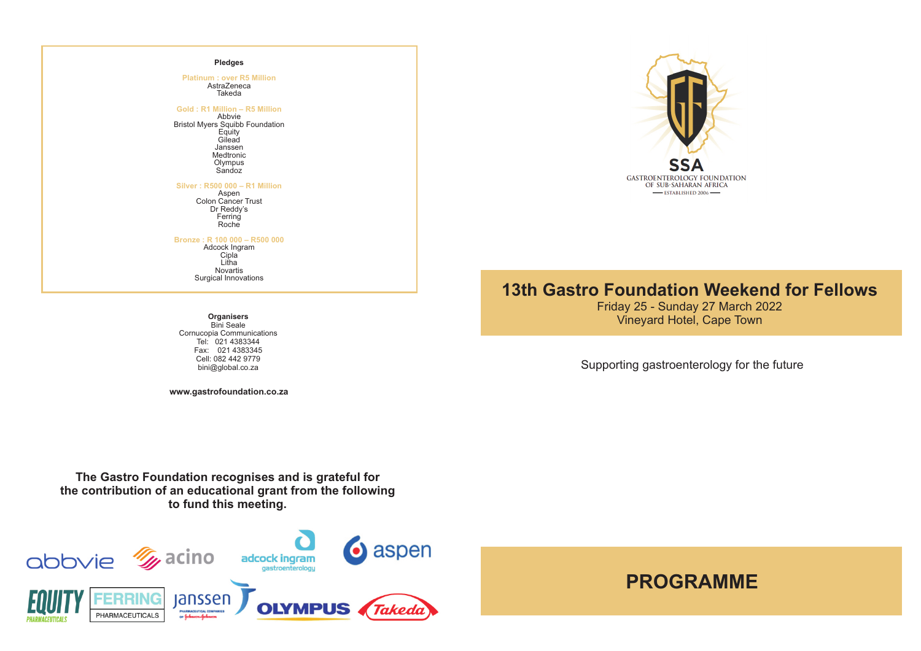# **Pledges**

**AstraZeneca** Takeda **Platinum : over R5 Million**

**Gold : R1 Million – R5 Million**

Abbvie Bristol Myers Squibb Foundation **Equity** Gilead Janssen Medtronic Olympus Sandoz

### **Silver : R500 000 – R1 Million**

Aspen Colon Cancer Trust Dr Reddy's Ferring Roche

# **Bronze : R 100 000 – R500 000**

Adcock Ingram Cipla<sup>®</sup> Litha Novartis Surgical Innovations

SS **GASTROENTEROLOGY FOUNDATION** OF SUB-SAHARAN AFRICA  $-$ ESTABLISHED 2006 $-$ 

# **13th Gastro Foundation Weekend for Fellows**

Friday 25 - Sunday 27 March 2022 Vineyard Hotel, Cape Town **Organisers**

Supporting gastroenterology for the future

**PROGRAMME**

Bini Seale Cornucopia Communications Tel: 021 4383344 Fax: 021 4383345 Cell: 082 442 9779<br>bini@global.co.za

**www.gastrofoundation.co.za**

**The Gastro Foundation recognises and is grateful for the contribution of an educational grant from the following to fund this meeting.**

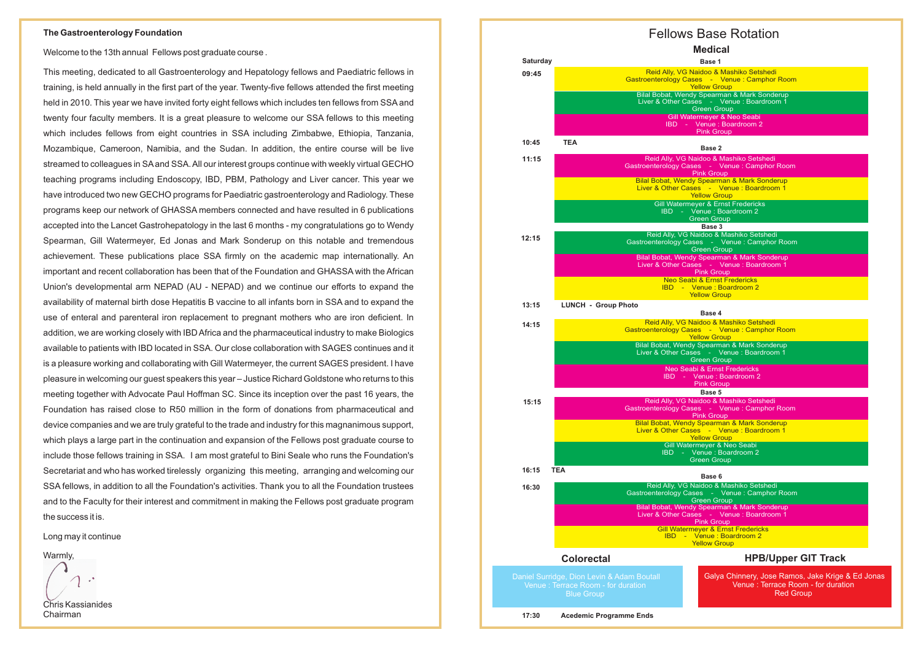Welcome to the 13th annual Fellows post graduate course .

This meeting, dedicated to all Gastroenterology and Hepatology fellows and Paediatric fellows in training, is held annually in the first part of the year. Twenty-five fellows attended the first meeting held in 2010. This year we have invited forty eight fellows which includes ten fellows from SSAand twenty four faculty members. It is a great pleasure to welcome our SSA fellows to this meeting which includes fellows from eight countries in SSA including Zimbabwe, Ethiopia, Tanzania, Mozambique, Cameroon, Namibia, and the Sudan. In addition, the entire course will be live streamed to colleagues in SAand SSA. All our interest groups continue with weekly virtual GECHO teaching programs including Endoscopy, IBD, PBM, Pathology and Liver cancer. This year we have introduced two new GECHO programs for Paediatric gastroenterology and Radiology. These programs keep our network of GHASSA members connected and have resulted in 6 publications accepted into the Lancet Gastrohepatology in the last 6 months - my congratulations go to Wendy Spearman, Gill Watermeyer, Ed Jonas and Mark Sonderup on this notable and tremendous achievement. These publications place SSA firmly on the academic map internationally. An important and recent collaboration has been that of the Foundation and GHASSA with the African Union's developmental arm NEPAD (AU - NEPAD) and we continue our efforts to expand the availability of maternal birth dose Hepatitis B vaccine to all infants born in SSA and to expand the use of enteral and parenteral iron replacement to pregnant mothers who are iron deficient. In addition, we are working closely with IBD Africa and the pharmaceutical industry to make Biologics available to patients with IBD located in SSA. Our close collaboration with SAGES continues and it is a pleasure working and collaborating with Gill Watermeyer, the current SAGES president. I have pleasure in welcoming our guest speakers this year – Justice Richard Goldstone who returns to this meeting together with Advocate Paul Hoffman SC. Since its inception over the past 16 years, the Foundation has raised close to R50 million in the form of donations from pharmaceutical and device companies and we are truly grateful to the trade and industry for this magnanimous support, which plays a large part in the continuation and expansion of the Fellows post graduate course to include those fellows training in SSA. I am most grateful to Bini Seale who runs the Foundation's Secretariat and who has worked tirelessly organizing this meeting, arranging and welcoming our SSA fellows, in addition to all the Foundation's activities. Thank you to all the Foundation trustees and to the Faculty for their interest and commitment in making the Fellows post graduate program the success it is.

Long may it continue

Warmly,

Chris Kassianides Chairman

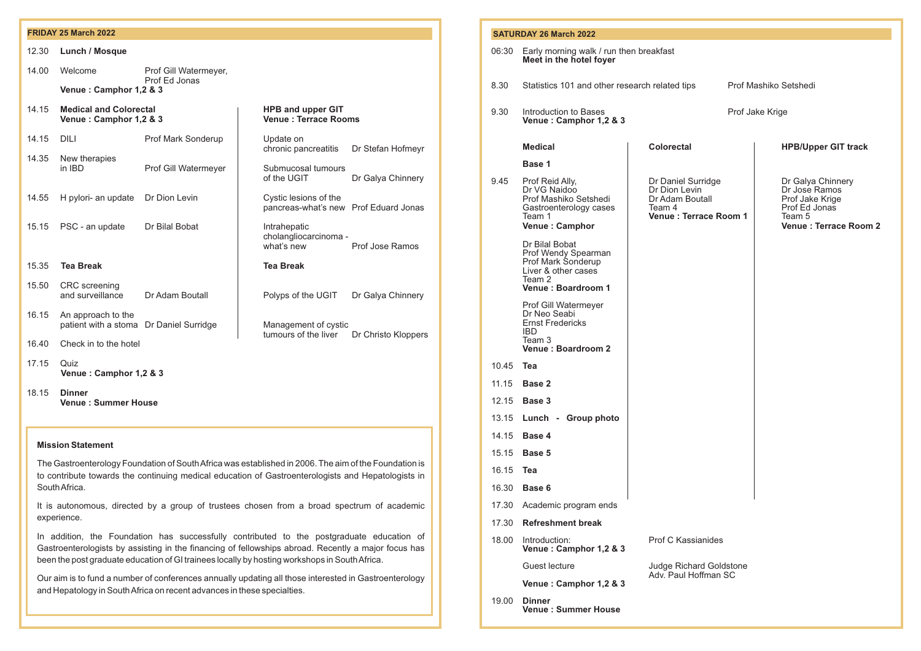| 12.30 | Lunch / Mosque                                                |                                        |                                                                |                     |  |
|-------|---------------------------------------------------------------|----------------------------------------|----------------------------------------------------------------|---------------------|--|
| 14.00 | Welcome                                                       | Prof Gill Watermeyer,<br>Prof Ed Jonas |                                                                |                     |  |
|       | Venue: Camphor 1,2 & 3                                        |                                        |                                                                |                     |  |
| 14.15 | <b>Medical and Colorectal</b><br>Venue: Camphor 1,2 & 3       |                                        | <b>HPB and upper GIT</b><br><b>Venue: Terrace Rooms</b>        |                     |  |
| 14.15 | DILI                                                          | Prof Mark Sonderup                     | Update on<br>chronic pancreatitis                              | Dr Stefan Hofmeyr   |  |
| 14.35 | New therapies<br>in IBD                                       | Prof Gill Watermeyer                   | Submucosal tumours<br>of the UGIT                              | Dr Galya Chinnery   |  |
| 14.55 | H pylori- an update                                           | Dr Dion Levin                          | Cystic lesions of the<br>pancreas-what's new Prof Eduard Jonas |                     |  |
| 15.15 | PSC - an update                                               | Dr Bilal Bobat                         | Intrahepatic<br>cholangliocarcinoma -<br>what's new            | Prof Jose Ramos     |  |
| 15.35 | <b>Tea Break</b>                                              |                                        | <b>Tea Break</b>                                               |                     |  |
| 15.50 | <b>CRC</b> screening<br>and surveillance                      | Dr Adam Boutall                        | Polyps of the UGIT                                             | Dr Galya Chinnery   |  |
| 16.15 | An approach to the<br>patient with a stoma Dr Daniel Surridge |                                        | Management of cystic<br>tumours of the liver                   | Dr Christo Kloppers |  |
| 16.40 | Check in to the hotel                                         |                                        |                                                                |                     |  |
| 17.15 | Quiz<br>Venue: Camphor 1,2 & 3                                |                                        |                                                                |                     |  |
| 18.15 | <b>Dinner</b><br><b>Venue: Summer House</b>                   |                                        |                                                                |                     |  |
|       |                                                               |                                        |                                                                |                     |  |

# **Mission Statement**

| <b>FRIDAY 25 March 2022</b>                                                                                                                                                                                                                                                                                                                                                                                                                                                                          |                                                                                                                    |                                         |                                                                  | <b>SATURDAY 26 March 2022</b>                     |                                                                    |                                                                               |                                                                     |  |                                                             |
|------------------------------------------------------------------------------------------------------------------------------------------------------------------------------------------------------------------------------------------------------------------------------------------------------------------------------------------------------------------------------------------------------------------------------------------------------------------------------------------------------|--------------------------------------------------------------------------------------------------------------------|-----------------------------------------|------------------------------------------------------------------|---------------------------------------------------|--------------------------------------------------------------------|-------------------------------------------------------------------------------|---------------------------------------------------------------------|--|-------------------------------------------------------------|
| Lunch / Mosque<br>12.30                                                                                                                                                                                                                                                                                                                                                                                                                                                                              |                                                                                                                    |                                         |                                                                  | 06:30 Early morning walk / run then breakfast     |                                                                    |                                                                               |                                                                     |  |                                                             |
| 14.00                                                                                                                                                                                                                                                                                                                                                                                                                                                                                                | Welcome                                                                                                            | Prof Gill Watermeyer,                   |                                                                  |                                                   |                                                                    | Meet in the hotel foyer                                                       |                                                                     |  |                                                             |
|                                                                                                                                                                                                                                                                                                                                                                                                                                                                                                      | Prof Ed Jonas<br>Venue: Camphor 1,2 & 3                                                                            |                                         |                                                                  |                                                   | 8.30                                                               | Statistics 101 and other research related tips                                |                                                                     |  | Prof Mashiko Setshedi                                       |
|                                                                                                                                                                                                                                                                                                                                                                                                                                                                                                      |                                                                                                                    |                                         |                                                                  |                                                   |                                                                    |                                                                               |                                                                     |  |                                                             |
| 14.15                                                                                                                                                                                                                                                                                                                                                                                                                                                                                                | <b>HPB and upper GIT</b><br><b>Medical and Colorectal</b><br><b>Venue: Terrace Rooms</b><br>Venue: Camphor 1,2 & 3 |                                         |                                                                  | 9.30                                              | Introduction to Bases<br>Prof Jake Krige<br>Venue: Camphor 1,2 & 3 |                                                                               |                                                                     |  |                                                             |
| 14.15                                                                                                                                                                                                                                                                                                                                                                                                                                                                                                | DILI                                                                                                               | Prof Mark Sonderup                      | Update on<br>chronic pancreatitis                                | Dr Stefan Hofmeyr                                 |                                                                    | <b>Medical</b>                                                                | <b>Colorectal</b>                                                   |  | <b>HPB/Upper GIT track</b>                                  |
| 14.35                                                                                                                                                                                                                                                                                                                                                                                                                                                                                                | New therapies<br>in IBD                                                                                            | Prof Gill Watermeyer                    | Submucosal tumours<br>of the UGIT                                | Dr Galya Chinnery                                 | 9.45                                                               | Base 1<br>Prof Reid Ally,                                                     | Dr Daniel Surridge                                                  |  | Dr Galya Chinnery                                           |
| 14.55                                                                                                                                                                                                                                                                                                                                                                                                                                                                                                | H pylori- an update                                                                                                | Dr Dion Levin                           | Cystic lesions of the<br>pancreas-what's new Prof Eduard Jonas   |                                                   |                                                                    | Dr VG Naidoo<br>Prof Mashiko Setshedi<br>Gastroenterology cases<br>Team 1     | Dr Dion Levin<br>Dr Adam Boutall<br>Team 4<br>Venue: Terrace Room 1 |  | Dr Jose Ramos<br>Prof Jake Krige<br>Prof Ed Jonas<br>Team 5 |
| 15.15                                                                                                                                                                                                                                                                                                                                                                                                                                                                                                | PSC - an update                                                                                                    | Dr Bilal Bobat                          | Intrahepatic                                                     |                                                   |                                                                    | Venue: Camphor                                                                |                                                                     |  | Venue: Terrace Room 2                                       |
|                                                                                                                                                                                                                                                                                                                                                                                                                                                                                                      |                                                                                                                    |                                         | cholangliocarcinoma -<br>what's new                              | Prof Jose Ramos                                   |                                                                    | Dr Bilal Bobat                                                                |                                                                     |  |                                                             |
| 15.35                                                                                                                                                                                                                                                                                                                                                                                                                                                                                                | <b>Tea Break</b>                                                                                                   |                                         | <b>Tea Break</b>                                                 |                                                   |                                                                    | Prof Wendy Spearman<br>Prof Mark Sonderup<br>Liver & other cases              |                                                                     |  |                                                             |
| 15.50                                                                                                                                                                                                                                                                                                                                                                                                                                                                                                | <b>CRC</b> screening<br>and surveillance                                                                           | Dr Adam Boutall                         | Polyps of the UGIT                                               | Dr Galya Chinnery                                 |                                                                    | Team 2<br>Venue: Boardroom 1                                                  |                                                                     |  |                                                             |
| 16.15                                                                                                                                                                                                                                                                                                                                                                                                                                                                                                | An approach to the                                                                                                 | patient with a stoma Dr Daniel Surridge | Management of cystic<br>tumours of the liver Dr Christo Kloppers |                                                   |                                                                    | Prof Gill Watermeyer<br>Dr Neo Seabi<br><b>Ernst Fredericks</b><br><b>IBD</b> |                                                                     |  |                                                             |
| 16.40                                                                                                                                                                                                                                                                                                                                                                                                                                                                                                | Check in to the hotel                                                                                              |                                         |                                                                  | Team 3<br>Venue: Boardroom 2                      |                                                                    |                                                                               |                                                                     |  |                                                             |
| 17.15                                                                                                                                                                                                                                                                                                                                                                                                                                                                                                | Quiz<br>Venue: Camphor 1,2 & 3                                                                                     |                                         | 10.45                                                            | Tea                                               |                                                                    |                                                                               |                                                                     |  |                                                             |
|                                                                                                                                                                                                                                                                                                                                                                                                                                                                                                      |                                                                                                                    |                                         |                                                                  |                                                   | 11.15                                                              | <b>Base 2</b>                                                                 |                                                                     |  |                                                             |
| 18.15<br><b>Dinner</b><br><b>Venue: Summer House</b>                                                                                                                                                                                                                                                                                                                                                                                                                                                 |                                                                                                                    |                                         | 12.15                                                            | Base 3                                            |                                                                    |                                                                               |                                                                     |  |                                                             |
|                                                                                                                                                                                                                                                                                                                                                                                                                                                                                                      |                                                                                                                    |                                         |                                                                  |                                                   | 13.15                                                              | Lunch - Group photo                                                           |                                                                     |  |                                                             |
|                                                                                                                                                                                                                                                                                                                                                                                                                                                                                                      |                                                                                                                    |                                         |                                                                  |                                                   | 14.15                                                              | Base 4                                                                        |                                                                     |  |                                                             |
| <b>Mission Statement</b>                                                                                                                                                                                                                                                                                                                                                                                                                                                                             |                                                                                                                    |                                         |                                                                  | 15.15                                             | <b>Base 5</b>                                                      |                                                                               |                                                                     |  |                                                             |
| The Gastroenterology Foundation of South Africa was established in 2006. The aim of the Foundation is<br>to contribute towards the continuing medical education of Gastroenterologists and Hepatologists in                                                                                                                                                                                                                                                                                          |                                                                                                                    |                                         | 16.15                                                            | Tea                                               |                                                                    |                                                                               |                                                                     |  |                                                             |
| South Africa.                                                                                                                                                                                                                                                                                                                                                                                                                                                                                        |                                                                                                                    |                                         | 16.30                                                            | Base 6                                            |                                                                    |                                                                               |                                                                     |  |                                                             |
| It is autonomous, directed by a group of trustees chosen from a broad spectrum of academic                                                                                                                                                                                                                                                                                                                                                                                                           |                                                                                                                    |                                         |                                                                  |                                                   | 17.30 Academic program ends                                        |                                                                               |                                                                     |  |                                                             |
| experience.<br>In addition, the Foundation has successfully contributed to the postgraduate education of<br>Gastroenterologists by assisting in the financing of fellowships abroad. Recently a major focus has<br>been the post graduate education of GI trainees locally by hosting workshops in South Africa.<br>Our aim is to fund a number of conferences annually updating all those interested in Gastroenterology<br>and Hepatology in South Africa on recent advances in these specialties. |                                                                                                                    |                                         | 17.30                                                            | <b>Refreshment break</b>                          |                                                                    |                                                                               |                                                                     |  |                                                             |
|                                                                                                                                                                                                                                                                                                                                                                                                                                                                                                      |                                                                                                                    |                                         | 18.00                                                            | Introduction:<br>Venue: Camphor 1,2 & 3           | <b>Prof C Kassianides</b>                                          |                                                                               |                                                                     |  |                                                             |
|                                                                                                                                                                                                                                                                                                                                                                                                                                                                                                      |                                                                                                                    |                                         |                                                                  | Guest lecture                                     | Judge Richard Goldstone<br>Adv. Paul Hoffman SC                    |                                                                               |                                                                     |  |                                                             |
|                                                                                                                                                                                                                                                                                                                                                                                                                                                                                                      |                                                                                                                    |                                         |                                                                  | Venue: Camphor 1,2 & 3                            |                                                                    |                                                                               |                                                                     |  |                                                             |
|                                                                                                                                                                                                                                                                                                                                                                                                                                                                                                      |                                                                                                                    |                                         |                                                                  | 19.00 <b>Dinner</b><br><b>Venue: Summer House</b> |                                                                    |                                                                               |                                                                     |  |                                                             |